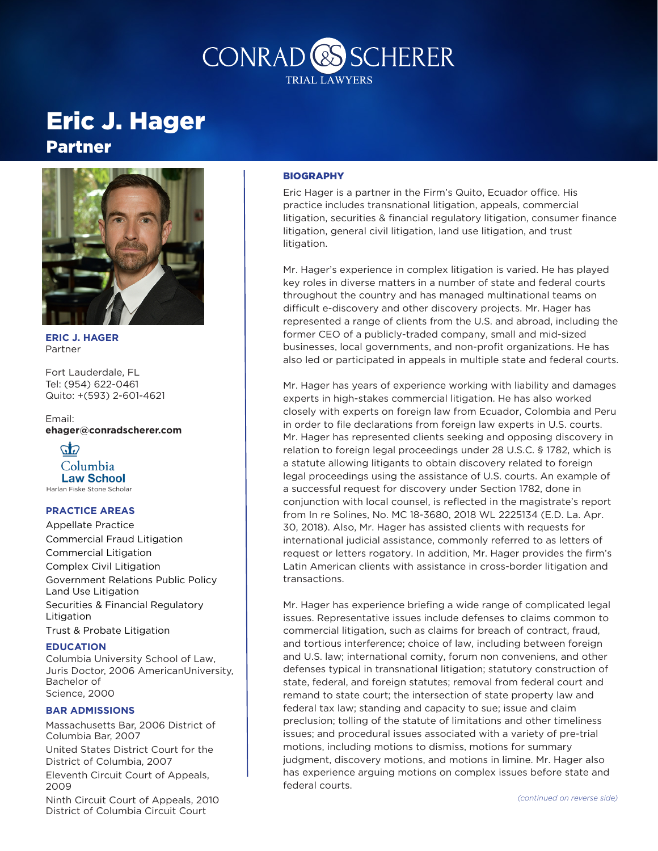

## Eric J. Hager

### Partner



**ERIC J. HAGER** Partner

Fort Lauderdale, FL Tel: (954) 622-0461 Quito: +(593) 2-601-4621

Email: **ehager@conradscherer.com**



#### **PRACTICE AREAS**

Appellate Practice Commercial Fraud Litigation Commercial Litigation Complex Civil Litigation Government Relations Public Policy Land Use Litigation Securities & Financial Regulatory Litigation Trust & Probate Litigation

#### **EDUCATION**

Columbia University School of Law, Juris Doctor, 2006 AmericanUniversity, Bachelor of Science, 2000

#### **BAR ADMISSIONS**

Massachusetts Bar, 2006 District of Columbia Bar, 2007

United States District Court for the District of Columbia, 2007

Eleventh Circuit Court of Appeals, 2009

Ninth Circuit Court of Appeals, 2010 District of Columbia Circuit Court

### **BIOGRAPHY**

Eric Hager is a partner in the Firm's Quito, Ecuador office. His practice includes transnational litigation, appeals, commercial litigation, securities & financial regulatory litigation, consumer finance litigation, general civil litigation, land use litigation, and trust litigation.

Mr. Hager's experience in complex litigation is varied. He has played key roles in diverse matters in a number of state and federal courts throughout the country and has managed multinational teams on difficult e-discovery and other discovery projects. Mr. Hager has represented a range of clients from the U.S. and abroad, including the former CEO of a publicly-traded company, small and mid-sized businesses, local governments, and non-profit organizations. He has also led or participated in appeals in multiple state and federal courts.

Mr. Hager has years of experience working with liability and damages experts in high-stakes commercial litigation. He has also worked closely with experts on foreign law from Ecuador, Colombia and Peru in order to file declarations from foreign law experts in U.S. courts. Mr. Hager has represented clients seeking and opposing discovery in relation to foreign legal proceedings under 28 U.S.C. § 1782, which is a statute allowing litigants to obtain discovery related to foreign legal proceedings using the assistance of U.S. courts. An example of a successful request for discovery under Section 1782, done in conjunction with local counsel, is reflected in the magistrate's report from In re Solines, No. MC 18-3680, 2018 WL 2225134 (E.D. La. Apr. 30, 2018). Also, Mr. Hager has assisted clients with requests for international judicial assistance, commonly referred to as letters of request or letters rogatory. In addition, Mr. Hager provides the firm's Latin American clients with assistance in cross-border litigation and transactions.

Mr. Hager has experience briefing a wide range of complicated legal issues. Representative issues include defenses to claims common to commercial litigation, such as claims for breach of contract, fraud, and tortious interference; choice of law, including between foreign and U.S. law; international comity, forum non conveniens, and other defenses typical in transnational litigation; statutory construction of state, federal, and foreign statutes; removal from federal court and remand to state court; the intersection of state property law and federal tax law; standing and capacity to sue; issue and claim preclusion; tolling of the statute of limitations and other timeliness issues; and procedural issues associated with a variety of pre-trial motions, including motions to dismiss, motions for summary judgment, discovery motions, and motions in limine. Mr. Hager also has experience arguing motions on complex issues before state and federal courts.